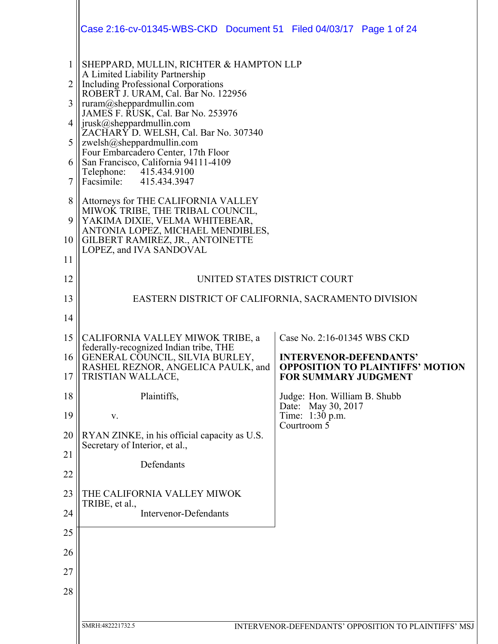|                                                            | Case 2:16-cv-01345-WBS-CKD  Document 51  Filed 04/03/17  Page 1 of 24                                                                                                                                                                                                                                                                                                                                                                                                                                                                                                                                                                                             |                                                                                                                                        |
|------------------------------------------------------------|-------------------------------------------------------------------------------------------------------------------------------------------------------------------------------------------------------------------------------------------------------------------------------------------------------------------------------------------------------------------------------------------------------------------------------------------------------------------------------------------------------------------------------------------------------------------------------------------------------------------------------------------------------------------|----------------------------------------------------------------------------------------------------------------------------------------|
| $\mathbf{1}$<br>2<br>3<br>4<br>5<br>6<br>7<br>8<br>9<br>10 | SHEPPARD, MULLIN, RICHTER & HAMPTON LLP<br>A Limited Liability Partnership<br><b>Including Professional Corporations</b><br>ROBERT J. URAM, Cal. Bar No. 122956<br>ruram@sheppardmullin.com<br>JAMES F. RUSK, Cal. Bar No. 253976<br>jrusk@sheppardmullin.com<br>ZACHARY D. WELSH, Cal. Bar No. 307340<br>zwelsh@sheppardmullin.com<br>Four Embarcadero Center, 17th Floor<br>San Francisco, California 94111-4109<br>Telephone:<br>415.434.9100<br>Facsimile: 415.434.3947<br>Attorneys for THE CALIFORNIA VALLEY<br>MIWOK TRIBE, THE TRIBAL COUNCIL,<br>YAKIMA DIXIE, VELMA WHITEBEAR,<br>ANTONIA LOPEZ, MICHAEL MENDIBLES,<br>GILBERT RAMIREZ, JR., ANTOINETTE |                                                                                                                                        |
| 11                                                         | LOPEZ, and IVA SANDOVAL                                                                                                                                                                                                                                                                                                                                                                                                                                                                                                                                                                                                                                           |                                                                                                                                        |
| 12                                                         |                                                                                                                                                                                                                                                                                                                                                                                                                                                                                                                                                                                                                                                                   | UNITED STATES DISTRICT COURT                                                                                                           |
| 13                                                         |                                                                                                                                                                                                                                                                                                                                                                                                                                                                                                                                                                                                                                                                   | EASTERN DISTRICT OF CALIFORNIA, SACRAMENTO DIVISION                                                                                    |
| 14                                                         |                                                                                                                                                                                                                                                                                                                                                                                                                                                                                                                                                                                                                                                                   |                                                                                                                                        |
| 15<br>16<br>17                                             | CALIFORNIA VALLEY MIWOK TRIBE, a<br>federally-recognized Indian tribe, THE<br>GENERAL COUNCIL, SILVIA BURLEY,<br>RASHEL REZNOR, ANGELICA PAULK, and<br>TRISTIAN WALLACE,                                                                                                                                                                                                                                                                                                                                                                                                                                                                                          | Case No. 2:16-01345 WBS CKD<br><b>INTERVENOR-DEFENDANTS'</b><br><b>OPPOSITION TO PLAINTIFFS' MOTION</b><br><b>FOR SUMMARY JUDGMENT</b> |
| 18                                                         | Plaintiffs,                                                                                                                                                                                                                                                                                                                                                                                                                                                                                                                                                                                                                                                       | Judge: Hon. William B. Shubb                                                                                                           |
| 19                                                         | V.                                                                                                                                                                                                                                                                                                                                                                                                                                                                                                                                                                                                                                                                | Date: May 30, 2017<br>Time: 1:30 p.m.                                                                                                  |
| 20                                                         | RYAN ZINKE, in his official capacity as U.S.<br>Secretary of Interior, et al.,                                                                                                                                                                                                                                                                                                                                                                                                                                                                                                                                                                                    | Courtroom $\overline{5}$                                                                                                               |
| 21                                                         | Defendants                                                                                                                                                                                                                                                                                                                                                                                                                                                                                                                                                                                                                                                        |                                                                                                                                        |
| 22                                                         |                                                                                                                                                                                                                                                                                                                                                                                                                                                                                                                                                                                                                                                                   |                                                                                                                                        |
| 23                                                         | THE CALIFORNIA VALLEY MIWOK<br>TRIBE, et al.,                                                                                                                                                                                                                                                                                                                                                                                                                                                                                                                                                                                                                     |                                                                                                                                        |
| 24                                                         | <b>Intervenor-Defendants</b>                                                                                                                                                                                                                                                                                                                                                                                                                                                                                                                                                                                                                                      |                                                                                                                                        |
| 25                                                         |                                                                                                                                                                                                                                                                                                                                                                                                                                                                                                                                                                                                                                                                   |                                                                                                                                        |
| 26                                                         |                                                                                                                                                                                                                                                                                                                                                                                                                                                                                                                                                                                                                                                                   |                                                                                                                                        |
| 27                                                         |                                                                                                                                                                                                                                                                                                                                                                                                                                                                                                                                                                                                                                                                   |                                                                                                                                        |
| 28                                                         |                                                                                                                                                                                                                                                                                                                                                                                                                                                                                                                                                                                                                                                                   |                                                                                                                                        |
|                                                            | SMRH:482221732.5                                                                                                                                                                                                                                                                                                                                                                                                                                                                                                                                                                                                                                                  | INTERVENOR-DEFENDANTS' OPPOSITION TO PLAINTIFFS' MSJ                                                                                   |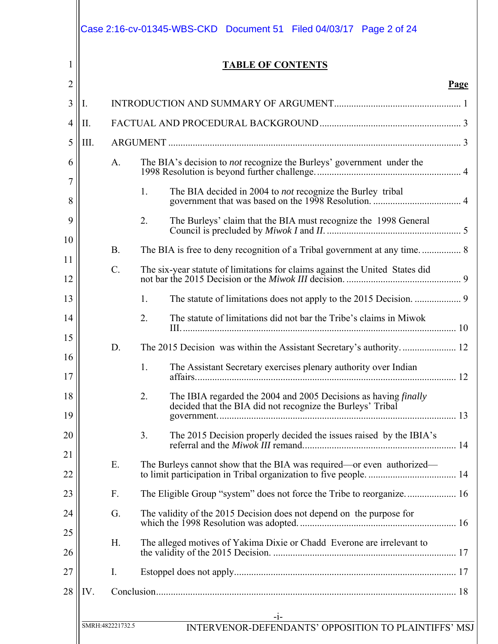| 1        |                 | <b>TABLE OF CONTENTS</b>                                                                                                                   |      |
|----------|-----------------|--------------------------------------------------------------------------------------------------------------------------------------------|------|
| 2        |                 |                                                                                                                                            | Page |
| 3<br>I.  |                 |                                                                                                                                            |      |
| 4<br>Π.  |                 |                                                                                                                                            |      |
| III.     |                 |                                                                                                                                            |      |
| 6<br>7   | A.              | The BIA's decision to not recognize the Burleys' government under the                                                                      |      |
| 8        |                 | 1.<br>The BIA decided in 2004 to <i>not</i> recognize the Burley tribal                                                                    |      |
| 9<br>10  |                 | 2.<br>The Burleys' claim that the BIA must recognize the 1998 General                                                                      |      |
|          | <b>B.</b>       |                                                                                                                                            |      |
|          | $\mathcal{C}$ . | The six-year statute of limitations for claims against the United States did                                                               |      |
|          |                 | 1.                                                                                                                                         |      |
|          |                 | The statute of limitations did not bar the Tribe's claims in Miwok<br>2.                                                                   |      |
| 16       | D.              |                                                                                                                                            |      |
| 17       |                 | The Assistant Secretary exercises plenary authority over Indian<br>1.                                                                      |      |
| 18<br>19 |                 | The IBIA regarded the 2004 and 2005 Decisions as having <i>finally</i><br>2.<br>decided that the BIA did not recognize the Burleys' Tribal |      |
| 20       |                 | The 2015 Decision properly decided the issues raised by the IBIA's<br>3.                                                                   |      |
|          | E.              | The Burleys cannot show that the BIA was required-or even authorized-                                                                      |      |
|          | F.              | The Eligible Group "system" does not force the Tribe to reorganize 16                                                                      |      |
|          | G.              | The validity of the 2015 Decision does not depend on the purpose for                                                                       |      |
| 25<br>26 | Н.              | The alleged motives of Yakima Dixie or Chadd Everone are irrelevant to                                                                     |      |
|          | Ι.              |                                                                                                                                            |      |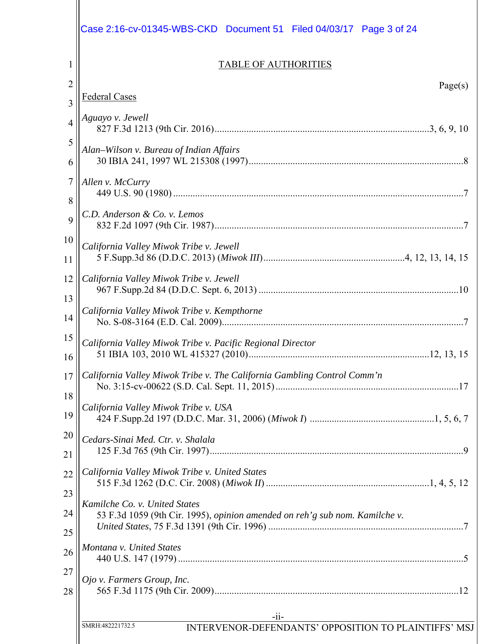|                | Case 2:16-cv-01345-WBS-CKD  Document 51  Filed 04/03/17  Page 3 of 24                                        |
|----------------|--------------------------------------------------------------------------------------------------------------|
| 1              | TABLE OF AUTHORITIES                                                                                         |
| $\overline{2}$ | Page(s)                                                                                                      |
| 3              | <u>Federal Cases</u>                                                                                         |
| $\overline{4}$ | Aguayo v. Jewell                                                                                             |
| 5              |                                                                                                              |
| 6              | Alan–Wilson v. Bureau of Indian Affairs                                                                      |
| 7              | Allen v. McCurry                                                                                             |
| 8              |                                                                                                              |
| 9              | C.D. Anderson & Co. v. Lemos                                                                                 |
| 10             | California Valley Miwok Tribe v. Jewell                                                                      |
| 11             |                                                                                                              |
| 12             | California Valley Miwok Tribe v. Jewell                                                                      |
| 13             |                                                                                                              |
| 14             | California Valley Miwok Tribe v. Kempthorne                                                                  |
| 15             | California Valley Miwok Tribe v. Pacific Regional Director                                                   |
| 16             |                                                                                                              |
| 17             | California Valley Miwok Tribe v. The California Gambling Control Comm'n                                      |
| 18             |                                                                                                              |
| 19             | California Valley Miwok Tribe v. USA                                                                         |
| 20             | Cedars-Sinai Med. Ctr. v. Shalala                                                                            |
| 21             |                                                                                                              |
| 22             | California Valley Miwok Tribe v. United States                                                               |
| 23             |                                                                                                              |
| 24             | Kamilche Co. v. United States<br>53 F.3d 1059 (9th Cir. 1995), opinion amended on reh'g sub nom. Kamilche v. |
| 25             |                                                                                                              |
| 26             | Montana v. United States                                                                                     |
| 27             | Ojo v. Farmers Group, Inc.                                                                                   |
| 28             |                                                                                                              |
|                | $-ii-$                                                                                                       |
|                | SMRH:482221732.5<br>INTERVENOR-DEFENDANTS' OPPOSITION TO PLAINTIFFS' MSJ                                     |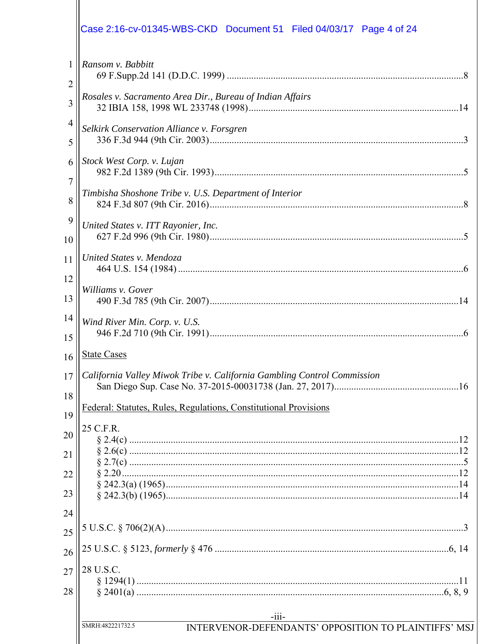|                     | Case 2:16-cv-01345-WBS-CKD  Document 51  Filed 04/03/17  Page 4 of 24    |
|---------------------|--------------------------------------------------------------------------|
| $\mathbf{1}$<br>2   | Ransom v. Babbitt                                                        |
| 3                   | Rosales v. Sacramento Area Dir., Bureau of Indian Affairs                |
| $\overline{4}$<br>5 | Selkirk Conservation Alliance v. Forsgren                                |
| 6<br>7              | Stock West Corp. v. Lujan                                                |
| 8                   | Timbisha Shoshone Tribe v. U.S. Department of Interior                   |
| 9<br>10             | United States v. ITT Rayonier, Inc.                                      |
| 11<br>12            | United States v. Mendoza                                                 |
| 13                  | Williams v. Gover                                                        |
| 14<br>15            | Wind River Min. Corp. v. U.S.                                            |
| 16                  | <b>State Cases</b>                                                       |
| 17<br>18            | California Valley Miwok Tribe v. California Gambling Control Commission  |
| 19                  | Federal: Statutes, Rules, Regulations, Constitutional Provisions         |
| 20                  | 25 C.F.R.                                                                |
| 21                  |                                                                          |
| 22                  |                                                                          |
| 23                  |                                                                          |
| 24                  |                                                                          |
| 25                  |                                                                          |
| 26                  |                                                                          |
| 27                  | 28 U.S.C.                                                                |
| 28                  |                                                                          |
|                     | $-iii-$                                                                  |
|                     | SMRH:482221732.5<br>INTERVENOR-DEFENDANTS' OPPOSITION TO PLAINTIFFS' MSJ |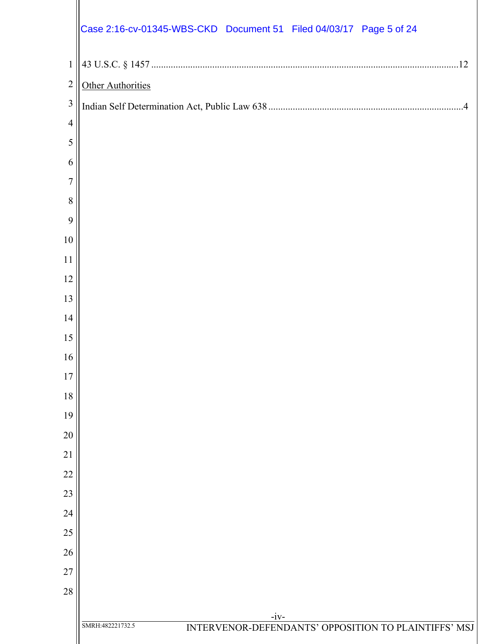|                | Case 2:16-cv-01345-WBS-CKD  Document 51  Filed 04/03/17  Page 5 of 24    |
|----------------|--------------------------------------------------------------------------|
| $\mathbf 1$    |                                                                          |
| $\overline{c}$ | Other Authorities                                                        |
| $\mathfrak{Z}$ |                                                                          |
| $\overline{4}$ |                                                                          |
| 5              |                                                                          |
| 6              |                                                                          |
| $\overline{7}$ |                                                                          |
| 8              |                                                                          |
| 9              |                                                                          |
| 10             |                                                                          |
| 11             |                                                                          |
| 12             |                                                                          |
| 13             |                                                                          |
| 14<br>15       |                                                                          |
| 16             |                                                                          |
| 17             |                                                                          |
| 18             |                                                                          |
| 19             |                                                                          |
| 20             |                                                                          |
| 21             |                                                                          |
| 22             |                                                                          |
| 23             |                                                                          |
| 24             |                                                                          |
| 25             |                                                                          |
| 26             |                                                                          |
| 27             |                                                                          |
| 28             |                                                                          |
|                | $-iv-$                                                                   |
|                | SMRH:482221732.5<br>INTERVENOR-DEFENDANTS' OPPOSITION TO PLAINTIFFS' MSJ |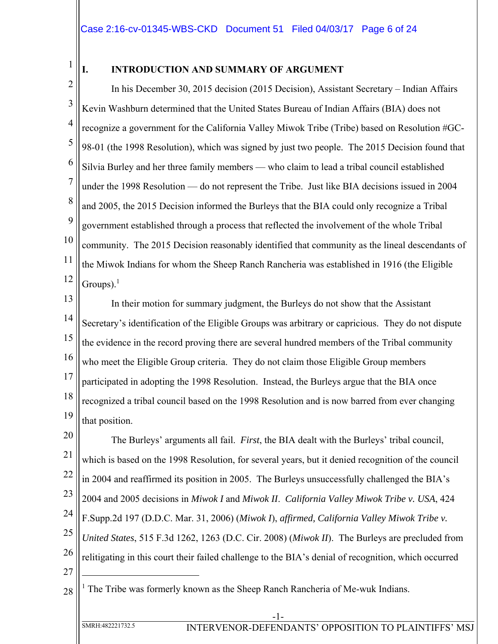# **I. INTRODUCTION AND SUMMARY OF ARGUMENT**

2 3 4 5 6 7 8 9 10 11 12 In his December 30, 2015 decision (2015 Decision), Assistant Secretary – Indian Affairs Kevin Washburn determined that the United States Bureau of Indian Affairs (BIA) does not recognize a government for the California Valley Miwok Tribe (Tribe) based on Resolution #GC-98-01 (the 1998 Resolution), which was signed by just two people. The 2015 Decision found that Silvia Burley and her three family members — who claim to lead a tribal council established under the 1998 Resolution — do not represent the Tribe. Just like BIA decisions issued in 2004 and 2005, the 2015 Decision informed the Burleys that the BIA could only recognize a Tribal government established through a process that reflected the involvement of the whole Tribal community. The 2015 Decision reasonably identified that community as the lineal descendants of the Miwok Indians for whom the Sheep Ranch Rancheria was established in 1916 (the Eligible Groups). $<sup>1</sup>$ </sup>

13 14 15 16 17 18 19 In their motion for summary judgment, the Burleys do not show that the Assistant Secretary's identification of the Eligible Groups was arbitrary or capricious. They do not dispute the evidence in the record proving there are several hundred members of the Tribal community who meet the Eligible Group criteria. They do not claim those Eligible Group members participated in adopting the 1998 Resolution. Instead, the Burleys argue that the BIA once recognized a tribal council based on the 1998 Resolution and is now barred from ever changing that position.

20 21 22 23 24 25 26 27 The Burleys' arguments all fail. *First*, the BIA dealt with the Burleys' tribal council, which is based on the 1998 Resolution, for several years, but it denied recognition of the council in 2004 and reaffirmed its position in 2005. The Burleys unsuccessfully challenged the BIA's 2004 and 2005 decisions in *Miwok I* and *Miwok II*. *California Valley Miwok Tribe v. USA*, 424 F.Supp.2d 197 (D.D.C. Mar. 31, 2006) (*Miwok I*), *affirmed, California Valley Miwok Tribe v. United States*, 515 F.3d 1262, 1263 (D.C. Cir. 2008) (*Miwok II*). The Burleys are precluded from relitigating in this court their failed challenge to the BIA's denial of recognition, which occurred  $\overline{a}$ 

28 <sup>1</sup> The Tribe was formerly known as the Sheep Ranch Rancheria of Me-wuk Indians.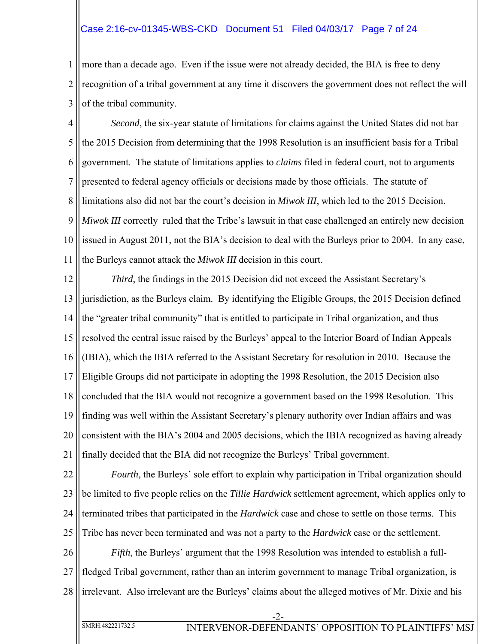## Case 2:16-cv-01345-WBS-CKD Document 51 Filed 04/03/17 Page 7 of 24

1 2 3 more than a decade ago. Even if the issue were not already decided, the BIA is free to deny recognition of a tribal government at any time it discovers the government does not reflect the will of the tribal community.

4 5 6 7 8 9 10 11 *Second*, the six-year statute of limitations for claims against the United States did not bar the 2015 Decision from determining that the 1998 Resolution is an insufficient basis for a Tribal government. The statute of limitations applies to *claims* filed in federal court, not to arguments presented to federal agency officials or decisions made by those officials. The statute of limitations also did not bar the court's decision in *Miwok III*, which led to the 2015 Decision. *Miwok III* correctly ruled that the Tribe's lawsuit in that case challenged an entirely new decision issued in August 2011, not the BIA's decision to deal with the Burleys prior to 2004. In any case, the Burleys cannot attack the *Miwok III* decision in this court.

12 13 14 15 16 17 18 19 20 21 *Third*, the findings in the 2015 Decision did not exceed the Assistant Secretary's jurisdiction, as the Burleys claim. By identifying the Eligible Groups, the 2015 Decision defined the "greater tribal community" that is entitled to participate in Tribal organization, and thus resolved the central issue raised by the Burleys' appeal to the Interior Board of Indian Appeals (IBIA), which the IBIA referred to the Assistant Secretary for resolution in 2010. Because the Eligible Groups did not participate in adopting the 1998 Resolution, the 2015 Decision also concluded that the BIA would not recognize a government based on the 1998 Resolution. This finding was well within the Assistant Secretary's plenary authority over Indian affairs and was consistent with the BIA's 2004 and 2005 decisions, which the IBIA recognized as having already finally decided that the BIA did not recognize the Burleys' Tribal government.

22 23 24 25 *Fourth*, the Burleys' sole effort to explain why participation in Tribal organization should be limited to five people relies on the *Tillie Hardwick* settlement agreement, which applies only to terminated tribes that participated in the *Hardwick* case and chose to settle on those terms. This Tribe has never been terminated and was not a party to the *Hardwick* case or the settlement.

26 27 28 *Fifth*, the Burleys' argument that the 1998 Resolution was intended to establish a fullfledged Tribal government, rather than an interim government to manage Tribal organization, is irrelevant. Also irrelevant are the Burleys' claims about the alleged motives of Mr. Dixie and his

-2-

SMRH:482221732.5 INTERVENOR-DEFENDANTS' OPPOSITION TO PLAINTIFFS' MSJ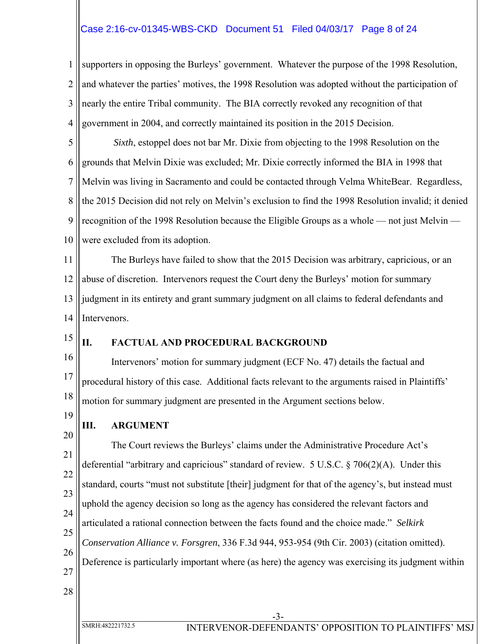## Case 2:16-cv-01345-WBS-CKD Document 51 Filed 04/03/17 Page 8 of 24

1 2 3 4 supporters in opposing the Burleys' government. Whatever the purpose of the 1998 Resolution, and whatever the parties' motives, the 1998 Resolution was adopted without the participation of nearly the entire Tribal community. The BIA correctly revoked any recognition of that government in 2004, and correctly maintained its position in the 2015 Decision.

5 6 7 8 9 10 *Sixth*, estoppel does not bar Mr. Dixie from objecting to the 1998 Resolution on the grounds that Melvin Dixie was excluded; Mr. Dixie correctly informed the BIA in 1998 that Melvin was living in Sacramento and could be contacted through Velma WhiteBear. Regardless, the 2015 Decision did not rely on Melvin's exclusion to find the 1998 Resolution invalid; it denied recognition of the 1998 Resolution because the Eligible Groups as a whole — not just Melvin were excluded from its adoption.

11 12 13 14 The Burleys have failed to show that the 2015 Decision was arbitrary, capricious, or an abuse of discretion. Intervenors request the Court deny the Burleys' motion for summary judgment in its entirety and grant summary judgment on all claims to federal defendants and Intervenors.

15

#### **II. FACTUAL AND PROCEDURAL BACKGROUND**

16 17 18 Intervenors' motion for summary judgment (ECF No. 47) details the factual and procedural history of this case. Additional facts relevant to the arguments raised in Plaintiffs' motion for summary judgment are presented in the Argument sections below.

19

## **III. ARGUMENT**

20 21 22 23 24 25 26 27 28 The Court reviews the Burleys' claims under the Administrative Procedure Act's deferential "arbitrary and capricious" standard of review. 5 U.S.C. § 706(2)(A). Under this standard, courts "must not substitute [their] judgment for that of the agency's, but instead must uphold the agency decision so long as the agency has considered the relevant factors and articulated a rational connection between the facts found and the choice made." *Selkirk Conservation Alliance v. Forsgren*, 336 F.3d 944, 953-954 (9th Cir. 2003) (citation omitted). Deference is particularly important where (as here) the agency was exercising its judgment within

-3-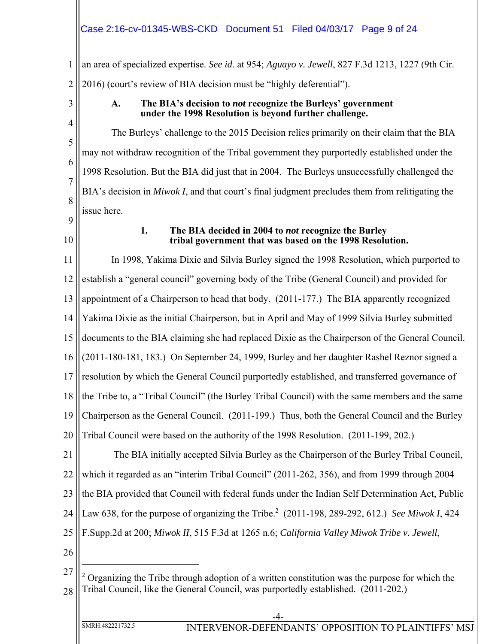# Case 2:16-cv-01345-WBS-CKD Document 51 Filed 04/03/17 Page 9 of 24

1 2 an area of specialized expertise. *See id.* at 954; *Aguayo v. Jewell*, 827 F.3d 1213, 1227 (9th Cir. 2016) (court's review of BIA decision must be "highly deferential").

3

4

5

6

7

## **A. The BIA's decision to** *not* **recognize the Burleys' government under the 1998 Resolution is beyond further challenge.**

The Burleys' challenge to the 2015 Decision relies primarily on their claim that the BIA may not withdraw recognition of the Tribal government they purportedly established under the 1998 Resolution. But the BIA did just that in 2004. The Burleys unsuccessfully challenged the BIA's decision in *Miwok I*, and that court's final judgment precludes them from relitigating the issue here.

- 8 9
- 10

## **1. The BIA decided in 2004 to** *not* **recognize the Burley tribal government that was based on the 1998 Resolution.**

11 12 13 14 15 16 17 18 19 20 21 22 In 1998, Yakima Dixie and Silvia Burley signed the 1998 Resolution, which purported to establish a "general council" governing body of the Tribe (General Council) and provided for appointment of a Chairperson to head that body. (2011-177.) The BIA apparently recognized Yakima Dixie as the initial Chairperson, but in April and May of 1999 Silvia Burley submitted documents to the BIA claiming she had replaced Dixie as the Chairperson of the General Council. (2011-180-181, 183.) On September 24, 1999, Burley and her daughter Rashel Reznor signed a resolution by which the General Council purportedly established, and transferred governance of the Tribe to, a "Tribal Council" (the Burley Tribal Council) with the same members and the same Chairperson as the General Council. (2011-199.) Thus, both the General Council and the Burley Tribal Council were based on the authority of the 1998 Resolution. (2011-199, 202.) The BIA initially accepted Silvia Burley as the Chairperson of the Burley Tribal Council, which it regarded as an "interim Tribal Council" (2011-262, 356), and from 1999 through 2004

23 the BIA provided that Council with federal funds under the Indian Self Determination Act, Public

24 Law 638, for the purpose of organizing the Tribe.<sup>2</sup> (2011-198, 289-292, 612.) *See Miwok I*, 424

- 25 F.Supp.2d at 200; *Miwok II*, 515 F.3d at 1265 n.6; *California Valley Miwok Tribe v. Jewell*,
- 26

 $\overline{a}$ 

27 28  $2$  Organizing the Tribe through adoption of a written constitution was the purpose for which the Tribal Council, like the General Council, was purportedly established. (2011-202.)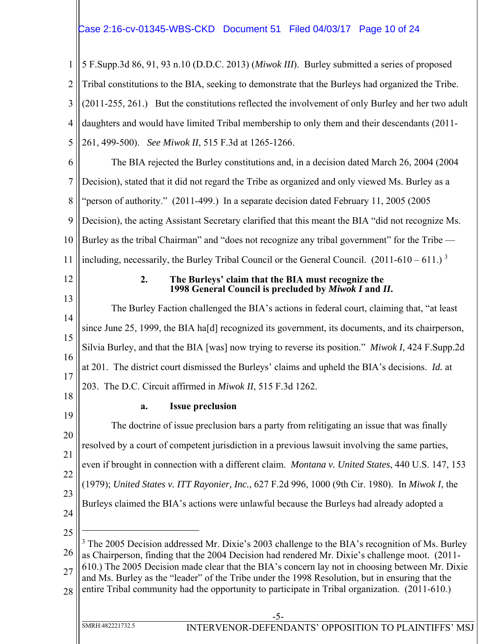## Case 2:16-cv-01345-WBS-CKD Document 51 Filed 04/03/17 Page 10 of 24

1 2 3 4 5 5 F.Supp.3d 86, 91, 93 n.10 (D.D.C. 2013) (*Miwok III*). Burley submitted a series of proposed Tribal constitutions to the BIA, seeking to demonstrate that the Burleys had organized the Tribe. (2011-255, 261.) But the constitutions reflected the involvement of only Burley and her two adult daughters and would have limited Tribal membership to only them and their descendants (2011- 261, 499-500). *See Miwok II*, 515 F.3d at 1265-1266.

- 6 7 8 9 10 11 The BIA rejected the Burley constitutions and, in a decision dated March 26, 2004 (2004 Decision), stated that it did not regard the Tribe as organized and only viewed Ms. Burley as a "person of authority." (2011-499.) In a separate decision dated February 11, 2005 (2005 Decision), the acting Assistant Secretary clarified that this meant the BIA "did not recognize Ms. Burley as the tribal Chairman" and "does not recognize any tribal government" for the Tribe including, necessarily, the Burley Tribal Council or the General Council.  $(2011-610-611.)$ <sup>3</sup>
- 12

### **2. The Burleys' claim that the BIA must recognize the 1998 General Council is precluded by** *Miwok I* **and** *II***.**

13 14 15 16 17 The Burley Faction challenged the BIA's actions in federal court, claiming that, "at least since June 25, 1999, the BIA ha[d] recognized its government, its documents, and its chairperson, Silvia Burley, and that the BIA [was] now trying to reverse its position." *Miwok I*, 424 F.Supp.2d at 201. The district court dismissed the Burleys' claims and upheld the BIA's decisions. *Id.* at 203. The D.C. Circuit affirmed in *Miwok II*, 515 F.3d 1262.

18 19

## **a. Issue preclusion**

20 21 22 23 24 The doctrine of issue preclusion bars a party from relitigating an issue that was finally resolved by a court of competent jurisdiction in a previous lawsuit involving the same parties, even if brought in connection with a different claim. *Montana v. United States*, 440 U.S. 147, 153 (1979); *United States v. ITT Rayonier, Inc.*, 627 F.2d 996, 1000 (9th Cir. 1980). In *Miwok I*, the Burleys claimed the BIA's actions were unlawful because the Burleys had already adopted a  $\overline{a}$ 

25

26 27 <sup>3</sup> The 2005 Decision addressed Mr. Dixie's 2003 challenge to the BIA's recognition of Ms. Burley as Chairperson, finding that the 2004 Decision had rendered Mr. Dixie's challenge moot. (2011- 610.) The 2005 Decision made clear that the BIA's concern lay not in choosing between Mr. Dixie

28 and Ms. Burley as the "leader" of the Tribe under the 1998 Resolution, but in ensuring that the entire Tribal community had the opportunity to participate in Tribal organization. (2011-610.)

SMRH:482221732.5 INTERVENOR-DEFENDANTS' OPPOSITION TO PLAINTIFFS' MSJ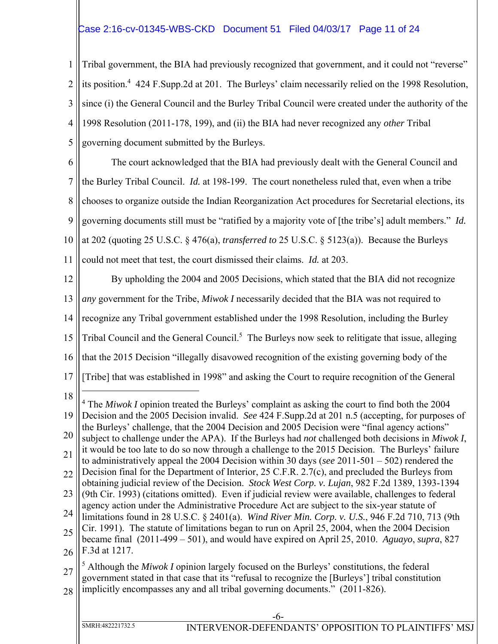# Case 2:16-cv-01345-WBS-CKD Document 51 Filed 04/03/17 Page 11 of 24

1 2 3 4 5 Tribal government, the BIA had previously recognized that government, and it could not "reverse" its position.<sup>4</sup> 424 F.Supp.2d at 201. The Burleys' claim necessarily relied on the 1998 Resolution, since (i) the General Council and the Burley Tribal Council were created under the authority of the 1998 Resolution (2011-178, 199), and (ii) the BIA had never recognized any *other* Tribal governing document submitted by the Burleys.

6 7 8 9 10 11 The court acknowledged that the BIA had previously dealt with the General Council and the Burley Tribal Council. *Id.* at 198-199. The court nonetheless ruled that, even when a tribe chooses to organize outside the Indian Reorganization Act procedures for Secretarial elections, its governing documents still must be "ratified by a majority vote of [the tribe's] adult members." *Id.* at 202 (quoting 25 U.S.C. § 476(a), *transferred to* 25 U.S.C. § 5123(a)). Because the Burleys could not meet that test, the court dismissed their claims. *Id.* at 203.

12 13 14 15 16 17 By upholding the 2004 and 2005 Decisions, which stated that the BIA did not recognize *any* government for the Tribe, *Miwok I* necessarily decided that the BIA was not required to recognize any Tribal government established under the 1998 Resolution, including the Burley Tribal Council and the General Council.<sup>5</sup> The Burleys now seek to relitigate that issue, alleging that the 2015 Decision "illegally disavowed recognition of the existing governing body of the [Tribe] that was established in 1998" and asking the Court to require recognition of the General  $\overline{a}$ 

18

<sup>19</sup> 20 21 22 23 24 25 26 27 28 <sup>4</sup> The *Miwok I* opinion treated the Burleys' complaint as asking the court to find both the 2004 Decision and the 2005 Decision invalid. *See* 424 F.Supp.2d at 201 n.5 (accepting, for purposes of the Burleys' challenge, that the 2004 Decision and 2005 Decision were "final agency actions" subject to challenge under the APA). If the Burleys had *not* challenged both decisions in *Miwok I*, it would be too late to do so now through a challenge to the 2015 Decision. The Burleys' failure to administratively appeal the 2004 Decision within 30 days (*see* 2011-501 – 502) rendered the Decision final for the Department of Interior, 25 C.F.R. 2.7(c), and precluded the Burleys from obtaining judicial review of the Decision. *Stock West Corp. v. Lujan*, 982 F.2d 1389, 1393-1394 (9th Cir. 1993) (citations omitted). Even if judicial review were available, challenges to federal agency action under the Administrative Procedure Act are subject to the six-year statute of limitations found in 28 U.S.C. § 2401(a). *Wind River Min. Corp. v. U.S.*, 946 F.2d 710, 713 (9th Cir. 1991). The statute of limitations began to run on April 25, 2004, when the 2004 Decision became final (2011-499 – 501), and would have expired on April 25, 2010. *Aguayo*, *supra*, 827 F.3d at 1217. <sup>5</sup> Although the *Miwok I* opinion largely focused on the Burleys' constitutions, the federal government stated in that case that its "refusal to recognize the [Burleys'] tribal constitution implicitly encompasses any and all tribal governing documents." (2011-826).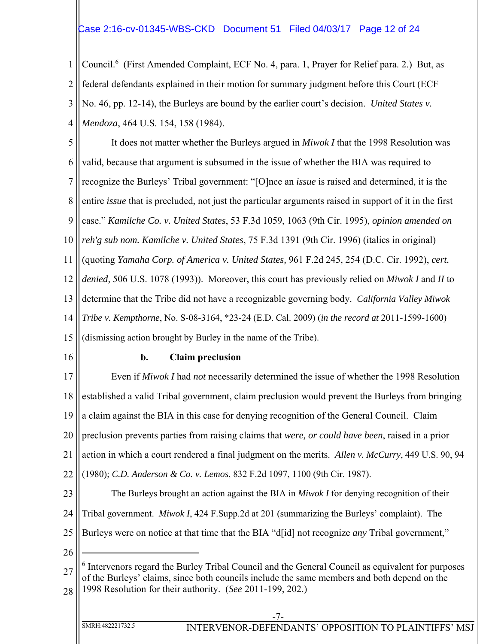# Case 2:16-cv-01345-WBS-CKD Document 51 Filed 04/03/17 Page 12 of 24

1 2 3 4 Council.<sup>6</sup> (First Amended Complaint, ECF No. 4, para. 1, Prayer for Relief para. 2.) But, as federal defendants explained in their motion for summary judgment before this Court (ECF No. 46, pp. 12-14), the Burleys are bound by the earlier court's decision. *United States v. Mendoza*, 464 U.S. 154, 158 (1984).

5 6 7 8 9 10 11 12 13 14 15 It does not matter whether the Burleys argued in *Miwok I* that the 1998 Resolution was valid, because that argument is subsumed in the issue of whether the BIA was required to recognize the Burleys' Tribal government: "[O]nce an *issue* is raised and determined, it is the entire *issue* that is precluded, not just the particular arguments raised in support of it in the first case." *Kamilche Co. v. United States*, 53 F.3d 1059, 1063 (9th Cir. 1995), *opinion amended on reh'g sub nom. Kamilche v. United States*, 75 F.3d 1391 (9th Cir. 1996) (italics in original) (quoting *Yamaha Corp. of America v. United States,* 961 F.2d 245, 254 (D.C. Cir. 1992), *cert. denied,* 506 U.S. 1078 (1993)). Moreover, this court has previously relied on *Miwok I* and *II* to determine that the Tribe did not have a recognizable governing body. *California Valley Miwok Tribe v. Kempthorne*, No. S-08-3164, \*23-24 (E.D. Cal. 2009) (*in the record at* 2011-1599-1600) (dismissing action brought by Burley in the name of the Tribe).

16

### **b. Claim preclusion**

17 18 19 20 21 22 Even if *Miwok I* had *not* necessarily determined the issue of whether the 1998 Resolution established a valid Tribal government, claim preclusion would prevent the Burleys from bringing a claim against the BIA in this case for denying recognition of the General Council. Claim preclusion prevents parties from raising claims that *were, or could have been*, raised in a prior action in which a court rendered a final judgment on the merits. *Allen v. McCurry*, 449 U.S. 90, 94 (1980); *C.D. Anderson & Co. v. Lemos*, 832 F.2d 1097, 1100 (9th Cir. 1987).

23 24 25 The Burleys brought an action against the BIA in *Miwok I* for denying recognition of their Tribal government. *Miwok I*, 424 F.Supp.2d at 201 (summarizing the Burleys' complaint). The Burleys were on notice at that time that the BIA "d[id] not recognize *any* Tribal government,"

26

 $\overline{a}$ 

<sup>27</sup> 28 <sup>6</sup> Intervenors regard the Burley Tribal Council and the General Council as equivalent for purposes of the Burleys' claims, since both councils include the same members and both depend on the 1998 Resolution for their authority. (*See* 2011-199, 202.)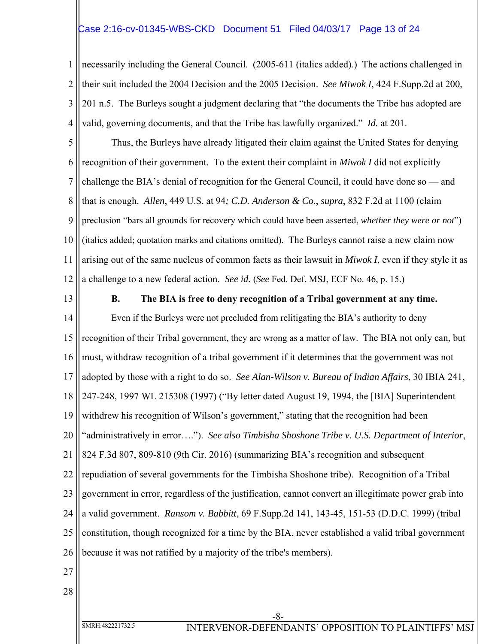## Case 2:16-cv-01345-WBS-CKD Document 51 Filed 04/03/17 Page 13 of 24

1 2 3 4 necessarily including the General Council. (2005-611 (italics added).) The actions challenged in their suit included the 2004 Decision and the 2005 Decision. *See Miwok I*, 424 F.Supp.2d at 200, 201 n.5. The Burleys sought a judgment declaring that "the documents the Tribe has adopted are valid, governing documents, and that the Tribe has lawfully organized." *Id.* at 201.

5 6 7 8 9 10 11 12 Thus, the Burleys have already litigated their claim against the United States for denying recognition of their government. To the extent their complaint in *Miwok I* did not explicitly challenge the BIA's denial of recognition for the General Council, it could have done so — and that is enough. *Allen*, 449 U.S. at 94*; C.D. Anderson & Co.*, *supra*, 832 F.2d at 1100 (claim preclusion "bars all grounds for recovery which could have been asserted, *whether they were or not*") (italics added; quotation marks and citations omitted). The Burleys cannot raise a new claim now arising out of the same nucleus of common facts as their lawsuit in *Miwok I*, even if they style it as a challenge to a new federal action. *See id.* (*See* Fed. Def. MSJ, ECF No. 46, p. 15.)

13

#### **B. The BIA is free to deny recognition of a Tribal government at any time.**

14 15 16 17 18 19 20 21 22 23 24 25 26 Even if the Burleys were not precluded from relitigating the BIA's authority to deny recognition of their Tribal government, they are wrong as a matter of law. The BIA not only can, but must, withdraw recognition of a tribal government if it determines that the government was not adopted by those with a right to do so. *See Alan-Wilson v. Bureau of Indian Affairs*, 30 IBIA 241, 247-248, 1997 WL 215308 (1997) ("By letter dated August 19, 1994, the [BIA] Superintendent withdrew his recognition of Wilson's government," stating that the recognition had been "administratively in error…."). *See also Timbisha Shoshone Tribe v. U.S. Department of Interior*, 824 F.3d 807, 809-810 (9th Cir. 2016) (summarizing BIA's recognition and subsequent repudiation of several governments for the Timbisha Shoshone tribe). Recognition of a Tribal government in error, regardless of the justification, cannot convert an illegitimate power grab into a valid government. *Ransom v. Babbitt*, 69 F.Supp.2d 141, 143-45, 151-53 (D.D.C. 1999) (tribal constitution, though recognized for a time by the BIA, never established a valid tribal government because it was not ratified by a majority of the tribe's members).

-8-

- 27
- 28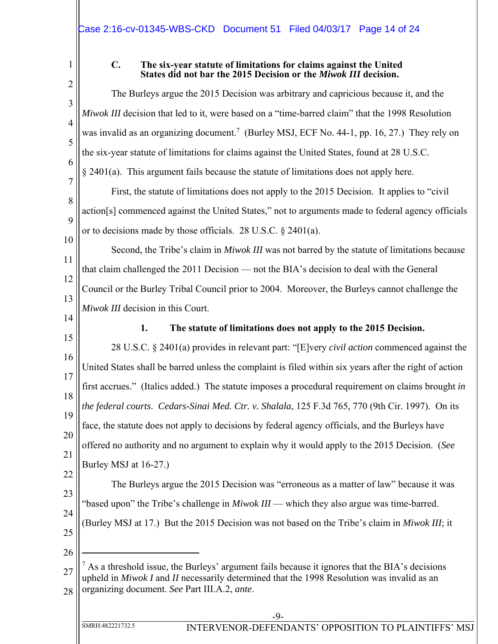# **C. The six-year statute of limitations for claims against the United States did not bar the 2015 Decision or the** *Miwok III* **decision.**

3 4 5 6 7 8 9 10 11 12 13 14 15 16 17 18 19 20 21 22 23 24 25 26 27 28 The Burleys argue the 2015 Decision was arbitrary and capricious because it, and the *Miwok III* decision that led to it, were based on a "time-barred claim" that the 1998 Resolution was invalid as an organizing document.<sup>7</sup> (Burley MSJ, ECF No. 44-1, pp. 16, 27.) They rely on the six-year statute of limitations for claims against the United States, found at 28 U.S.C. § 2401(a). This argument fails because the statute of limitations does not apply here. First, the statute of limitations does not apply to the 2015 Decision. It applies to "civil action[s] commenced against the United States," not to arguments made to federal agency officials or to decisions made by those officials. 28 U.S.C. § 2401(a). Second, the Tribe's claim in *Miwok III* was not barred by the statute of limitations because that claim challenged the 2011 Decision — not the BIA's decision to deal with the General Council or the Burley Tribal Council prior to 2004. Moreover, the Burleys cannot challenge the *Miwok III* decision in this Court. **1. The statute of limitations does not apply to the 2015 Decision.**  28 U.S.C. § 2401(a) provides in relevant part: "[E]very *civil action* commenced against the United States shall be barred unless the complaint is filed within six years after the right of action first accrues." (Italics added.) The statute imposes a procedural requirement on claims brought *in the federal courts*. *Cedars-Sinai Med. Ctr. v. Shalala*, 125 F.3d 765, 770 (9th Cir. 1997). On its face, the statute does not apply to decisions by federal agency officials, and the Burleys have offered no authority and no argument to explain why it would apply to the 2015 Decision. (*See* Burley MSJ at 16-27.) The Burleys argue the 2015 Decision was "erroneous as a matter of law" because it was "based upon" the Tribe's challenge in *Miwok III* — which they also argue was time-barred. (Burley MSJ at 17.) But the 2015 Decision was not based on the Tribe's claim in *Miwok III*; it  $\overline{a}$ 7 As a threshold issue, the Burleys' argument fails because it ignores that the BIA's decisions upheld in *Miwok I* and *II* necessarily determined that the 1998 Resolution was invalid as an organizing document. *See* Part III.A.2, *ante*.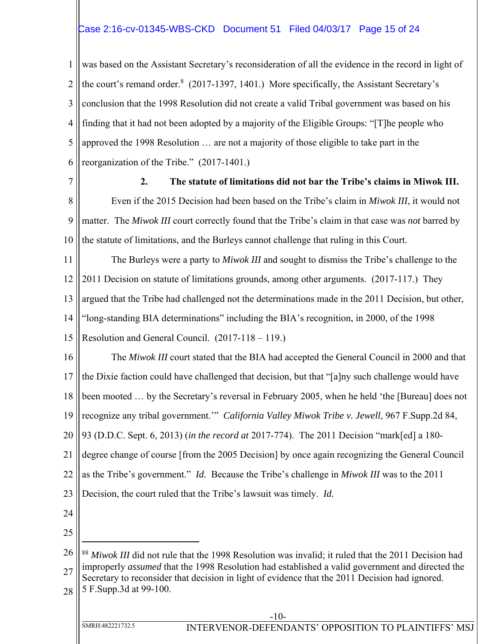# Case 2:16-cv-01345-WBS-CKD Document 51 Filed 04/03/17 Page 15 of 24

1 2 3 4 5 6 was based on the Assistant Secretary's reconsideration of all the evidence in the record in light of the court's remand order. $8$  (2017-1397, 1401.) More specifically, the Assistant Secretary's conclusion that the 1998 Resolution did not create a valid Tribal government was based on his finding that it had not been adopted by a majority of the Eligible Groups: "[T]he people who approved the 1998 Resolution … are not a majority of those eligible to take part in the reorganization of the Tribe." (2017-1401.)

7

## **2. The statute of limitations did not bar the Tribe's claims in Miwok III.**

8 9 10 Even if the 2015 Decision had been based on the Tribe's claim in *Miwok III*, it would not matter. The *Miwok III* court correctly found that the Tribe's claim in that case was *not* barred by the statute of limitations, and the Burleys cannot challenge that ruling in this Court.

11 12 13 14 The Burleys were a party to *Miwok III* and sought to dismiss the Tribe's challenge to the 2011 Decision on statute of limitations grounds, among other arguments. (2017-117.) They argued that the Tribe had challenged not the determinations made in the 2011 Decision, but other, "long-standing BIA determinations" including the BIA's recognition, in 2000, of the 1998

15 Resolution and General Council. (2017-118 – 119.)

16 17 18 19 The *Miwok III* court stated that the BIA had accepted the General Council in 2000 and that the Dixie faction could have challenged that decision, but that "[a]ny such challenge would have been mooted … by the Secretary's reversal in February 2005, when he held 'the [Bureau] does not recognize any tribal government.'" *California Valley Miwok Tribe v. Jewell*, 967 F.Supp.2d 84,

20 93 (D.D.C. Sept. 6, 2013) (*in the record at* 2017-774). The 2011 Decision "mark[ed] a 180-

21 degree change of course [from the 2005 Decision] by once again recognizing the General Council

22 as the Tribe's government." *Id.* Because the Tribe's challenge in *Miwok III* was to the 2011

23 Decision, the court ruled that the Tribe's lawsuit was timely. *Id.*

- 24
- 25

 $\overline{a}$ 

<sup>26</sup> 27 28 <sup>88</sup> Miwok III did not rule that the 1998 Resolution was invalid; it ruled that the 2011 Decision had improperly *assumed* that the 1998 Resolution had established a valid government and directed the Secretary to reconsider that decision in light of evidence that the 2011 Decision had ignored. 5 F.Supp.3d at 99-100.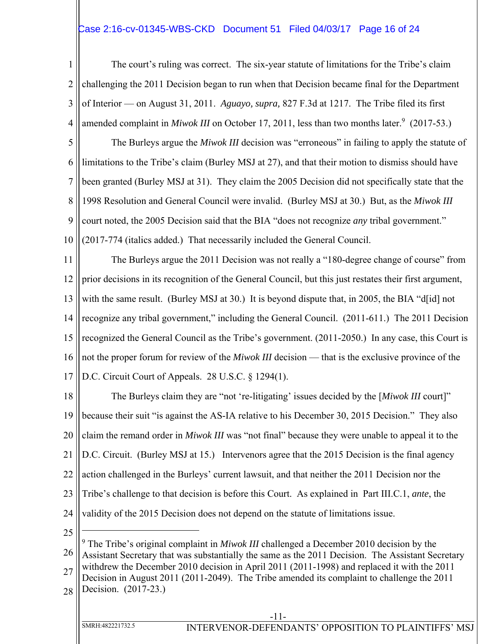# Case 2:16-cv-01345-WBS-CKD Document 51 Filed 04/03/17 Page 16 of 24

1 2 3 4 The court's ruling was correct. The six-year statute of limitations for the Tribe's claim challenging the 2011 Decision began to run when that Decision became final for the Department of Interior — on August 31, 2011. *Aguayo, supra,* 827 F.3d at 1217. The Tribe filed its first amended complaint in *Miwok III* on October 17, 2011, less than two months later.<sup>9</sup> (2017-53.)

5 6 7 8 9 10 The Burleys argue the *Miwok III* decision was "erroneous" in failing to apply the statute of limitations to the Tribe's claim (Burley MSJ at 27), and that their motion to dismiss should have been granted (Burley MSJ at 31). They claim the 2005 Decision did not specifically state that the 1998 Resolution and General Council were invalid. (Burley MSJ at 30.) But, as the *Miwok III* court noted, the 2005 Decision said that the BIA "does not recognize *any* tribal government." (2017-774 (italics added.) That necessarily included the General Council.

11 12 13 14 15 16 17 The Burleys argue the 2011 Decision was not really a "180-degree change of course" from prior decisions in its recognition of the General Council, but this just restates their first argument, with the same result. (Burley MSJ at 30.) It is beyond dispute that, in 2005, the BIA "d[id] not recognize any tribal government," including the General Council. (2011-611.) The 2011 Decision recognized the General Council as the Tribe's government. (2011-2050.) In any case, this Court is not the proper forum for review of the *Miwok III* decision — that is the exclusive province of the D.C. Circuit Court of Appeals. 28 U.S.C. § 1294(1).

18 19 20 21 22 23 24 The Burleys claim they are "not 're-litigating' issues decided by the [*Miwok III* court]" because their suit "is against the AS-IA relative to his December 30, 2015 Decision." They also claim the remand order in *Miwok III* was "not final" because they were unable to appeal it to the D.C. Circuit. (Burley MSJ at 15.) Intervenors agree that the 2015 Decision is the final agency action challenged in the Burleys' current lawsuit, and that neither the 2011 Decision nor the Tribe's challenge to that decision is before this Court. As explained in Part III.C.1, *ante*, the validity of the 2015 Decision does not depend on the statute of limitations issue.

25

 $\overline{a}$ 

26 27 28 <sup>9</sup> The Tribe's original complaint in *Miwok III* challenged a December 2010 decision by the Assistant Secretary that was substantially the same as the 2011 Decision. The Assistant Secretary withdrew the December 2010 decision in April 2011 (2011-1998) and replaced it with the 2011 Decision in August 2011 (2011-2049). The Tribe amended its complaint to challenge the 2011 Decision. (2017-23.)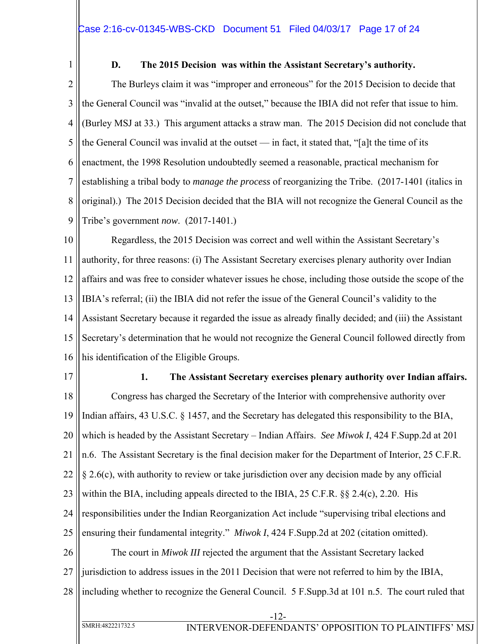## **D. The 2015 Decision was within the Assistant Secretary's authority.**

2 3 4 5 6 7 8 9 The Burleys claim it was "improper and erroneous" for the 2015 Decision to decide that the General Council was "invalid at the outset," because the IBIA did not refer that issue to him. (Burley MSJ at 33.) This argument attacks a straw man. The 2015 Decision did not conclude that the General Council was invalid at the outset — in fact, it stated that, "[a]t the time of its enactment, the 1998 Resolution undoubtedly seemed a reasonable, practical mechanism for establishing a tribal body to *manage the process* of reorganizing the Tribe. (2017-1401 (italics in original).) The 2015 Decision decided that the BIA will not recognize the General Council as the Tribe's government *now*. (2017-1401.)

10 11 12 13 14 15 16 Regardless, the 2015 Decision was correct and well within the Assistant Secretary's authority, for three reasons: (i) The Assistant Secretary exercises plenary authority over Indian affairs and was free to consider whatever issues he chose, including those outside the scope of the IBIA's referral; (ii) the IBIA did not refer the issue of the General Council's validity to the Assistant Secretary because it regarded the issue as already finally decided; and (iii) the Assistant Secretary's determination that he would not recognize the General Council followed directly from his identification of the Eligible Groups.

17

#### **1. The Assistant Secretary exercises plenary authority over Indian affairs.**

18 19 20 21 22 23 24 25 26 27 28 -12- SMRH:482221732.5 INTERVENOR-DEFENDANTS' OPPOSITION TO PLAINTIFFS' MSJ Congress has charged the Secretary of the Interior with comprehensive authority over Indian affairs, 43 U.S.C. § 1457, and the Secretary has delegated this responsibility to the BIA, which is headed by the Assistant Secretary – Indian Affairs. *See Miwok I*, 424 F.Supp.2d at 201 n.6. The Assistant Secretary is the final decision maker for the Department of Interior, 25 C.F.R. § 2.6(c), with authority to review or take jurisdiction over any decision made by any official within the BIA, including appeals directed to the IBIA, 25 C.F.R. §§ 2.4(c), 2.20. His responsibilities under the Indian Reorganization Act include "supervising tribal elections and ensuring their fundamental integrity." *Miwok I*, 424 F.Supp.2d at 202 (citation omitted). The court in *Miwok III* rejected the argument that the Assistant Secretary lacked jurisdiction to address issues in the 2011 Decision that were not referred to him by the IBIA, including whether to recognize the General Council. 5 F.Supp.3d at 101 n.5. The court ruled that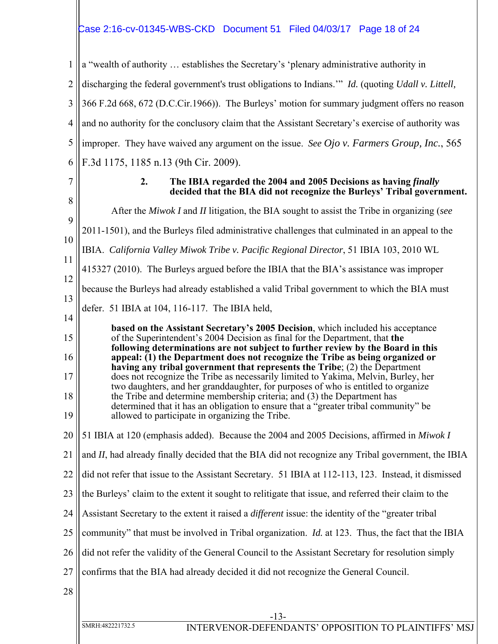# Case 2:16-cv-01345-WBS-CKD Document 51 Filed 04/03/17 Page 18 of 24

1 2 3 4 5 6 a "wealth of authority … establishes the Secretary's 'plenary administrative authority in discharging the federal government's trust obligations to Indians.'" *Id.* (quoting *Udall v. Littell,*  366 F.2d 668, 672 (D.C.Cir.1966)). The Burleys' motion for summary judgment offers no reason and no authority for the conclusory claim that the Assistant Secretary's exercise of authority was improper. They have waived any argument on the issue. *See Ojo v. Farmers Group, Inc.*, 565 F.3d 1175, 1185 n.13 (9th Cir. 2009).

7 8

#### **2. The IBIA regarded the 2004 and 2005 Decisions as having** *finally* **decided that the BIA did not recognize the Burleys' Tribal government.**

9 10 11 12 13 14 15 16 17 18 19 20 21 22 23 24 25 26 After the *Miwok I* and *II* litigation, the BIA sought to assist the Tribe in organizing (*see* 2011-1501), and the Burleys filed administrative challenges that culminated in an appeal to the IBIA. *California Valley Miwok Tribe v. Pacific Regional Director*, 51 IBIA 103, 2010 WL 415327 (2010). The Burleys argued before the IBIA that the BIA's assistance was improper because the Burleys had already established a valid Tribal government to which the BIA must defer. 51 IBIA at 104, 116-117. The IBIA held, **based on the Assistant Secretary's 2005 Decision**, which included his acceptance of the Superintendent's 2004 Decision as final for the Department, that **the following determinations are not subject to further review by the Board in this appeal: (1) the Department does not recognize the Tribe as being organized or having any tribal government that represents the Tribe**; (2) the Department does not recognize the Tribe as necessarily limited to Yakima, Melvin, Burley, her two daughters, and her granddaughter, for purposes of who is entitled to organize the Tribe and determine membership criteria; and (3) the Department has determined that it has an obligation to ensure that a "greater tribal community" be allowed to participate in organizing the Tribe. 51 IBIA at 120 (emphasis added). Because the 2004 and 2005 Decisions, affirmed in *Miwok I* and *II*, had already finally decided that the BIA did not recognize any Tribal government, the IBIA did not refer that issue to the Assistant Secretary. 51 IBIA at 112-113, 123. Instead, it dismissed the Burleys' claim to the extent it sought to relitigate that issue, and referred their claim to the Assistant Secretary to the extent it raised a *different* issue: the identity of the "greater tribal community" that must be involved in Tribal organization. *Id.* at 123. Thus, the fact that the IBIA did not refer the validity of the General Council to the Assistant Secretary for resolution simply

- 27 confirms that the BIA had already decided it did not recognize the General Council.
- 28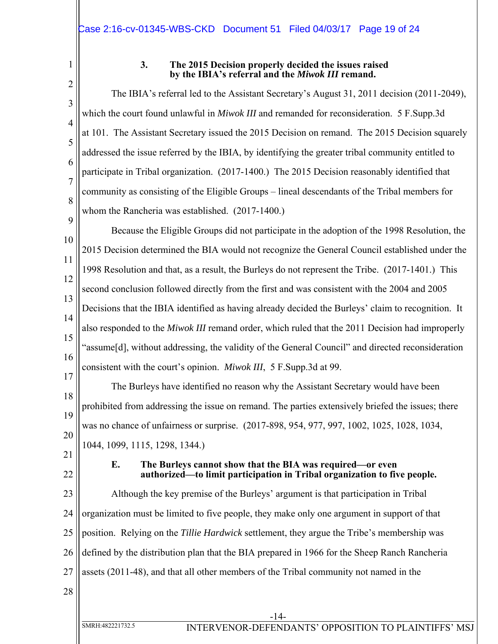3

4

5

6

7

8

9

## **3. The 2015 Decision properly decided the issues raised by the IBIA's referral and the** *Miwok III* **remand.**

The IBIA's referral led to the Assistant Secretary's August 31, 2011 decision (2011-2049), which the court found unlawful in *Miwok III* and remanded for reconsideration. 5 F.Supp.3d at 101. The Assistant Secretary issued the 2015 Decision on remand. The 2015 Decision squarely addressed the issue referred by the IBIA, by identifying the greater tribal community entitled to participate in Tribal organization. (2017-1400.) The 2015 Decision reasonably identified that community as consisting of the Eligible Groups – lineal descendants of the Tribal members for whom the Rancheria was established. (2017-1400.)

10 11 12 13 14 15 16 Because the Eligible Groups did not participate in the adoption of the 1998 Resolution, the 2015 Decision determined the BIA would not recognize the General Council established under the 1998 Resolution and that, as a result, the Burleys do not represent the Tribe. (2017-1401.) This second conclusion followed directly from the first and was consistent with the 2004 and 2005 Decisions that the IBIA identified as having already decided the Burleys' claim to recognition. It also responded to the *Miwok III* remand order, which ruled that the 2011 Decision had improperly "assume[d], without addressing, the validity of the General Council" and directed reconsideration consistent with the court's opinion. *Miwok III*, 5 F.Supp.3d at 99.

17 18 19 20 The Burleys have identified no reason why the Assistant Secretary would have been prohibited from addressing the issue on remand. The parties extensively briefed the issues; there was no chance of unfairness or surprise. (2017-898, 954, 977, 997, 1002, 1025, 1028, 1034, 1044, 1099, 1115, 1298, 1344.)

21

22

## **E. The Burleys cannot show that the BIA was required—or even authorized—to limit participation in Tribal organization to five people.**

23 24 25 26 27 Although the key premise of the Burleys' argument is that participation in Tribal organization must be limited to five people, they make only one argument in support of that position. Relying on the *Tillie Hardwick* settlement, they argue the Tribe's membership was defined by the distribution plan that the BIA prepared in 1966 for the Sheep Ranch Rancheria assets (2011-48), and that all other members of the Tribal community not named in the

28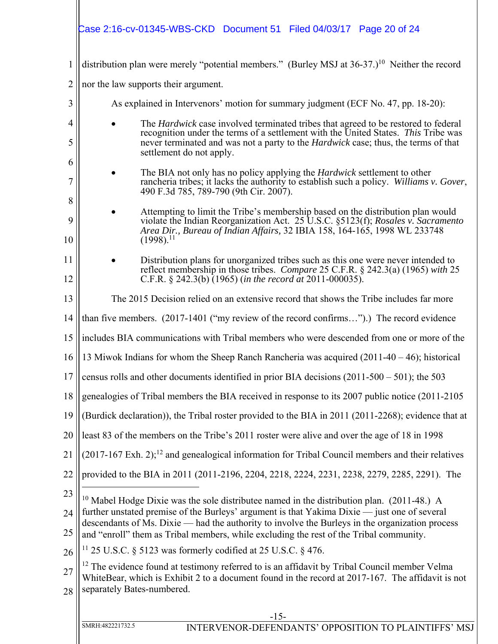| Case 2:16-cv-01345-WBS-CKD  Document 51  Filed 04/03/17  Page 20 of 24                                                                                                                                                                                                                 |  |
|----------------------------------------------------------------------------------------------------------------------------------------------------------------------------------------------------------------------------------------------------------------------------------------|--|
|                                                                                                                                                                                                                                                                                        |  |
| distribution plan were merely "potential members." (Burley MSJ at 36-37.) <sup>10</sup> Neither the record<br>1                                                                                                                                                                        |  |
| $\overline{2}$<br>nor the law supports their argument.                                                                                                                                                                                                                                 |  |
| 3<br>As explained in Intervenors' motion for summary judgment (ECF No. 47, pp. 18-20):                                                                                                                                                                                                 |  |
| 4<br>The <i>Hardwick</i> case involved terminated tribes that agreed to be restored to federal<br>recognition under the terms of a settlement with the United States. This Tribe was<br>5<br>never terminated and was not a party to the <i>Hardwick</i> case; thus, the terms of that |  |
| settlement do not apply.<br>6                                                                                                                                                                                                                                                          |  |
| The BIA not only has no policy applying the <i>Hardwick</i> settlement to other<br>rancheria tribes; it lacks the authority to establish such a policy. Williams v. Gover,<br>7<br>490 F.3d 785, 789-790 (9th Cir. 2007).                                                              |  |
| 8<br>Attempting to limit the Tribe's membership based on the distribution plan would                                                                                                                                                                                                   |  |
| violate the Indian Reorganization Act. 25 U.S.C. §5123(f); Rosales v. Sacramento<br>9<br>Area Dir., Bureau of Indian Affairs, 32 IBIA 158, 164-165, 1998 WL 233748<br>$(1998).$ <sup>11</sup><br>10                                                                                    |  |
| 11<br>Distribution plans for unorganized tribes such as this one were never intended to                                                                                                                                                                                                |  |
| reflect membership in those tribes. Compare 25 C.F.R. § 242.3(a) (1965) with 25<br>C.F.R. § 242.3(b) (1965) (in the record at 2011-000035).<br>12                                                                                                                                      |  |
| 13<br>The 2015 Decision relied on an extensive record that shows the Tribe includes far more                                                                                                                                                                                           |  |
| 14<br>than five members. $(2017-1401)$ ("my review of the record confirms").) The record evidence                                                                                                                                                                                      |  |
| 15<br>includes BIA communications with Tribal members who were descended from one or more of the                                                                                                                                                                                       |  |
| 13 Miwok Indians for whom the Sheep Ranch Rancheria was acquired $(2011-40-46)$ ; historical<br>16                                                                                                                                                                                     |  |
| census rolls and other documents identified in prior BIA decisions $(2011-500-501)$ ; the 503<br>17                                                                                                                                                                                    |  |
| genealogies of Tribal members the BIA received in response to its 2007 public notice (2011-2105)<br>18                                                                                                                                                                                 |  |
| (Burdick declaration)), the Tribal roster provided to the BIA in 2011 (2011-2268); evidence that at<br>19                                                                                                                                                                              |  |
| least 83 of the members on the Tribe's 2011 roster were alive and over the age of 18 in 1998<br>20                                                                                                                                                                                     |  |
| (2017-167 Exh. 2); <sup>12</sup> and genealogical information for Tribal Council members and their relatives<br>21                                                                                                                                                                     |  |
| provided to the BIA in 2011 (2011-2196, 2204, 2218, 2224, 2231, 2238, 2279, 2285, 2291). The<br>22                                                                                                                                                                                     |  |
| 23<br>$10$ Mabel Hodge Dixie was the sole distributee named in the distribution plan. (2011-48.) A                                                                                                                                                                                     |  |
| further unstated premise of the Burleys' argument is that Yakima Dixie — just one of several<br>24                                                                                                                                                                                     |  |
| descendants of Ms. Dixie — had the authority to involve the Burleys in the organization process<br>25<br>and "enroll" them as Tribal members, while excluding the rest of the Tribal community.                                                                                        |  |
| $11$ 25 U.S.C. § 5123 was formerly codified at 25 U.S.C. § 476.<br>26                                                                                                                                                                                                                  |  |
| $12$ The evidence found at testimony referred to is an affidavit by Tribal Council member Velma<br>27<br>WhiteBear, which is Exhibit 2 to a document found in the record at 2017-167. The affidavit is not<br>separately Bates-numbered.<br>28                                         |  |
|                                                                                                                                                                                                                                                                                        |  |
| $-15-$<br>INTERVENOR-DEFENDANTS' OPPOSITION TO PLAINTIFFS' MSJ<br>SMRH:482221732.5                                                                                                                                                                                                     |  |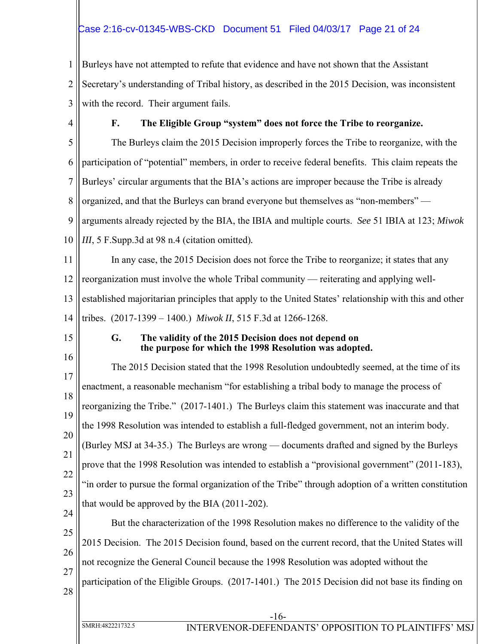# Case 2:16-cv-01345-WBS-CKD Document 51 Filed 04/03/17 Page 21 of 24

1 2 3 Burleys have not attempted to refute that evidence and have not shown that the Assistant Secretary's understanding of Tribal history, as described in the 2015 Decision, was inconsistent with the record. Their argument fails.

4

# **F. The Eligible Group "system" does not force the Tribe to reorganize.**

5 6 7 8 9 10 The Burleys claim the 2015 Decision improperly forces the Tribe to reorganize, with the participation of "potential" members, in order to receive federal benefits. This claim repeats the Burleys' circular arguments that the BIA's actions are improper because the Tribe is already organized, and that the Burleys can brand everyone but themselves as "non-members" arguments already rejected by the BIA, the IBIA and multiple courts. *See* 51 IBIA at 123; *Miwok III*, 5 F.Supp.3d at 98 n.4 (citation omitted)*.*

11 12 13 In any case, the 2015 Decision does not force the Tribe to reorganize; it states that any reorganization must involve the whole Tribal community — reiterating and applying wellestablished majoritarian principles that apply to the United States' relationship with this and other

14 tribes. (2017-1399 – 1400.) *Miwok II*, 515 F.3d at 1266-1268.

15

## **G. The validity of the 2015 Decision does not depend on the purpose for which the 1998 Resolution was adopted.**

16 17 18 19 20 21 22 23 24 The 2015 Decision stated that the 1998 Resolution undoubtedly seemed, at the time of its enactment, a reasonable mechanism "for establishing a tribal body to manage the process of reorganizing the Tribe." (2017-1401.) The Burleys claim this statement was inaccurate and that the 1998 Resolution was intended to establish a full-fledged government, not an interim body. (Burley MSJ at 34-35.) The Burleys are wrong — documents drafted and signed by the Burleys prove that the 1998 Resolution was intended to establish a "provisional government" (2011-183), "in order to pursue the formal organization of the Tribe" through adoption of a written constitution that would be approved by the BIA (2011-202).

25 26 27 28 But the characterization of the 1998 Resolution makes no difference to the validity of the 2015 Decision. The 2015 Decision found, based on the current record, that the United States will not recognize the General Council because the 1998 Resolution was adopted without the participation of the Eligible Groups. (2017-1401.) The 2015 Decision did not base its finding on

-16-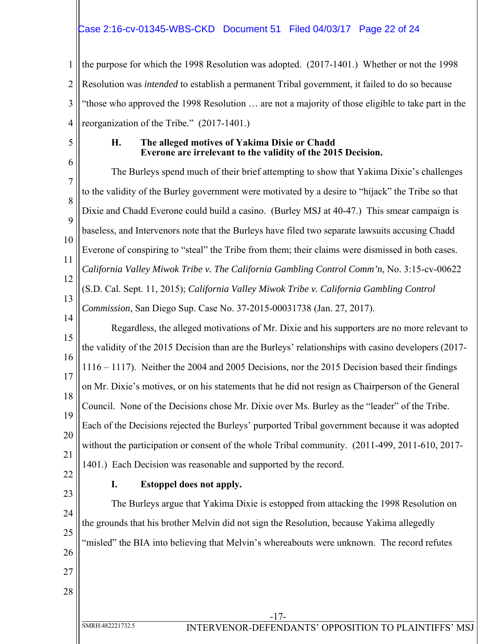# Case 2:16-cv-01345-WBS-CKD Document 51 Filed 04/03/17 Page 22 of 24

1 2 3 4 the purpose for which the 1998 Resolution was adopted. (2017-1401.) Whether or not the 1998 Resolution was *intended* to establish a permanent Tribal government, it failed to do so because "those who approved the 1998 Resolution … are not a majority of those eligible to take part in the reorganization of the Tribe." (2017-1401.)

5

## **H. The alleged motives of Yakima Dixie or Chadd Everone are irrelevant to the validity of the 2015 Decision.**

6 7 8 9 10 11 12 13 14 The Burleys spend much of their brief attempting to show that Yakima Dixie's challenges to the validity of the Burley government were motivated by a desire to "hijack" the Tribe so that Dixie and Chadd Everone could build a casino. (Burley MSJ at 40-47.) This smear campaign is baseless, and Intervenors note that the Burleys have filed two separate lawsuits accusing Chadd Everone of conspiring to "steal" the Tribe from them; their claims were dismissed in both cases. *California Valley Miwok Tribe v. The California Gambling Control Comm'n*, No. 3:15-cv-00622 (S.D. Cal. Sept. 11, 2015); *California Valley Miwok Tribe v. California Gambling Control Commission*, San Diego Sup. Case No. 37-2015-00031738 (Jan. 27, 2017).

15 16 17 18 19 20 21 Regardless, the alleged motivations of Mr. Dixie and his supporters are no more relevant to the validity of the 2015 Decision than are the Burleys' relationships with casino developers (2017- 1116 – 1117). Neither the 2004 and 2005 Decisions, nor the 2015 Decision based their findings on Mr. Dixie's motives, or on his statements that he did not resign as Chairperson of the General Council. None of the Decisions chose Mr. Dixie over Ms. Burley as the "leader" of the Tribe. Each of the Decisions rejected the Burleys' purported Tribal government because it was adopted without the participation or consent of the whole Tribal community. (2011-499, 2011-610, 2017- 1401.) Each Decision was reasonable and supported by the record.

22 23

## **I. Estoppel does not apply.**

24 25 26 27 28 The Burleys argue that Yakima Dixie is estopped from attacking the 1998 Resolution on the grounds that his brother Melvin did not sign the Resolution, because Yakima allegedly "misled" the BIA into believing that Melvin's whereabouts were unknown. The record refutes

SMRH:482221732.5 INTERVENOR-DEFENDANTS' OPPOSITION TO PLAINTIFFS' MSJ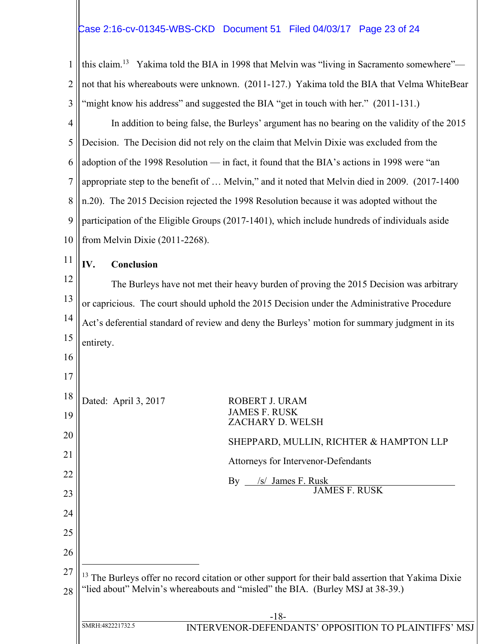# Case 2:16-cv-01345-WBS-CKD Document 51 Filed 04/03/17 Page 23 of 24

1 2 3 4 5 6 7 8 9 10 11 12 13 14 15 16 17 18 this claim.<sup>13</sup> Yakima told the BIA in 1998 that Melvin was "living in Sacramento somewhere" not that his whereabouts were unknown. (2011-127.) Yakima told the BIA that Velma WhiteBear "might know his address" and suggested the BIA "get in touch with her." (2011-131.) In addition to being false, the Burleys' argument has no bearing on the validity of the 2015 Decision. The Decision did not rely on the claim that Melvin Dixie was excluded from the adoption of the 1998 Resolution — in fact, it found that the BIA's actions in 1998 were "an appropriate step to the benefit of … Melvin," and it noted that Melvin died in 2009. (2017-1400 n.20). The 2015 Decision rejected the 1998 Resolution because it was adopted without the participation of the Eligible Groups (2017-1401), which include hundreds of individuals aside from Melvin Dixie (2011-2268). **IV. Conclusion**  The Burleys have not met their heavy burden of proving the 2015 Decision was arbitrary or capricious. The court should uphold the 2015 Decision under the Administrative Procedure Act's deferential standard of review and deny the Burleys' motion for summary judgment in its entirety. Dated: April 3, 2017 ROBERT J. URAM JAMES F. RUSK

19 20 21 22 23 24 25 26 27 28 -18- SMRH:482221732.5 INTERVENOR-DEFENDANTS' OPPOSITION TO PLAINTIFFS' MSJ ZACHARY D. WELSH SHEPPARD, MULLIN, RICHTER & HAMPTON LLP Attorneys for Intervenor-Defendants By /s/ James F. Rusk JAMES F. RUSK  $\overline{a}$ <sup>13</sup> The Burleys offer no record citation or other support for their bald assertion that Yakima Dixie "lied about" Melvin's whereabouts and "misled" the BIA. (Burley MSJ at 38-39.)